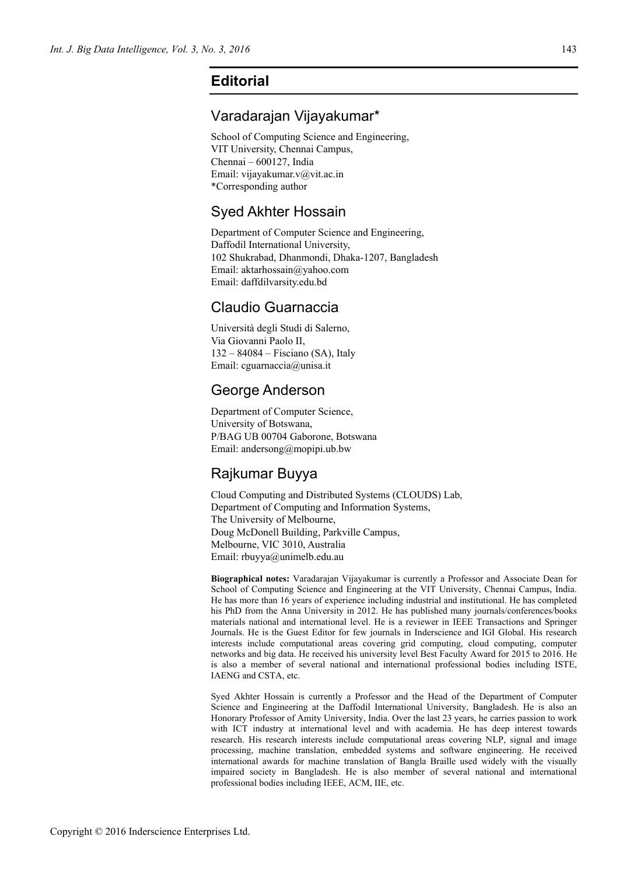## **Editorial**

### Varadarajan Vijayakumar\*

School of Computing Science and Engineering, VIT University, Chennai Campus, Chennai – 600127, India Email: vijayakumar.v@vit.ac.in \*Corresponding author

#### Syed Akhter Hossain

Department of Computer Science and Engineering, Daffodil International University, 102 Shukrabad, Dhanmondi, Dhaka-1207, Bangladesh Email: aktarhossain@yahoo.com Email: daffdilvarsity.edu.bd

#### Claudio Guarnaccia

Università degli Studi di Salerno, Via Giovanni Paolo II, 132 – 84084 – Fisciano (SA), Italy Email: cguarnaccia@unisa.it

## George Anderson

Department of Computer Science, University of Botswana, P/BAG UB 00704 Gaborone, Botswana Email: andersong@mopipi.ub.bw

# Rajkumar Buyya

Cloud Computing and Distributed Systems (CLOUDS) Lab, Department of Computing and Information Systems, The University of Melbourne, Doug McDonell Building, Parkville Campus, Melbourne, VIC 3010, Australia Email: rbuyya@unimelb.edu.au

**Biographical notes:** Varadarajan Vijayakumar is currently a Professor and Associate Dean for School of Computing Science and Engineering at the VIT University, Chennai Campus, India. He has more than 16 years of experience including industrial and institutional. He has completed his PhD from the Anna University in 2012. He has published many journals/conferences/books materials national and international level. He is a reviewer in IEEE Transactions and Springer Journals. He is the Guest Editor for few journals in Inderscience and IGI Global. His research interests include computational areas covering grid computing, cloud computing, computer networks and big data. He received his university level Best Faculty Award for 2015 to 2016. He is also a member of several national and international professional bodies including ISTE, IAENG and CSTA, etc.

Syed Akhter Hossain is currently a Professor and the Head of the Department of Computer Science and Engineering at the Daffodil International University, Bangladesh. He is also an Honorary Professor of Amity University, India. Over the last 23 years, he carries passion to work with ICT industry at international level and with academia. He has deep interest towards research. His research interests include computational areas covering NLP, signal and image processing, machine translation, embedded systems and software engineering. He received international awards for machine translation of Bangla Braille used widely with the visually impaired society in Bangladesh. He is also member of several national and international professional bodies including IEEE, ACM, IIE, etc.